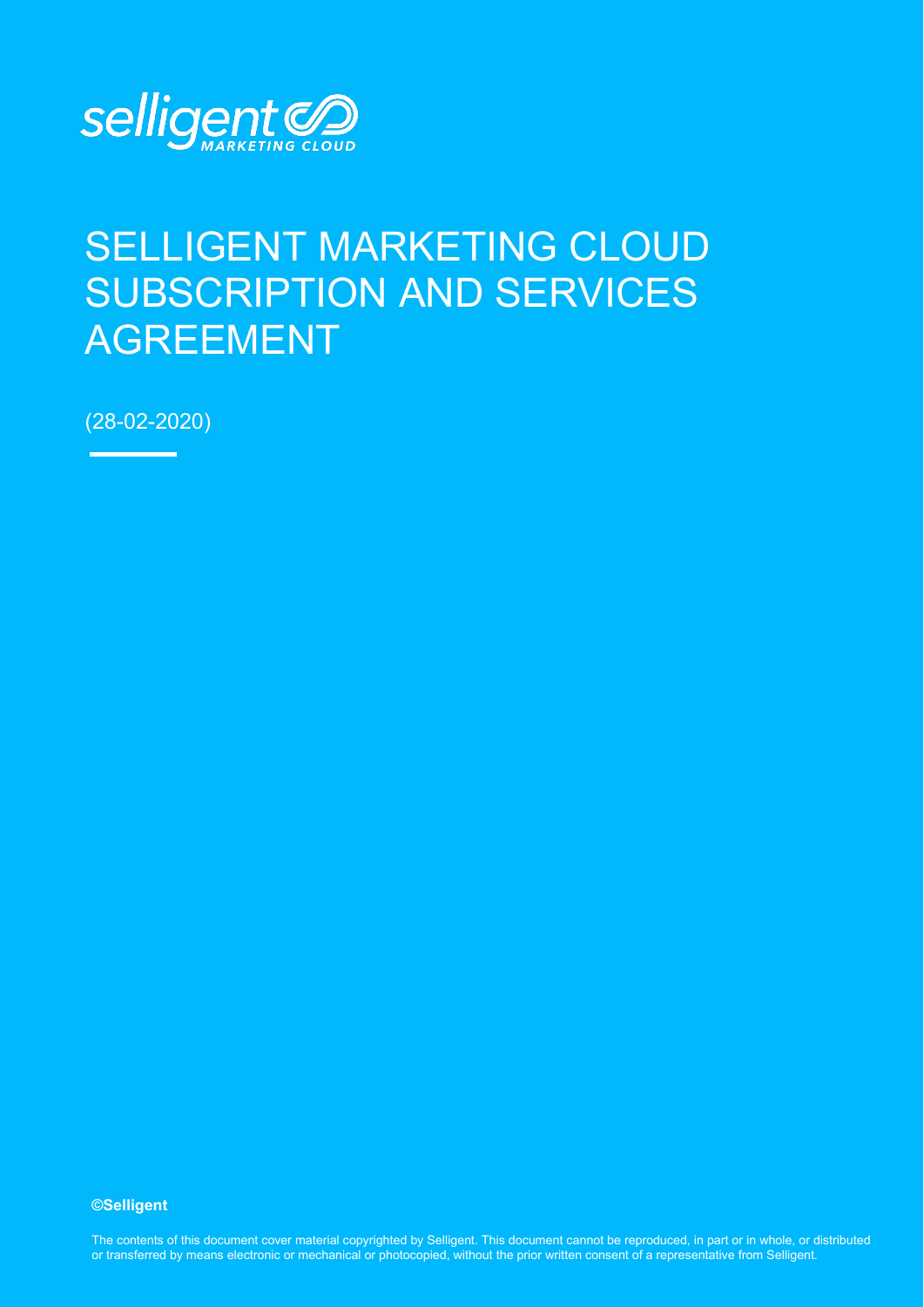

# SELLIGENT MARKETING CLOUD SUBSCRIPTION AND SERVICES AGREEMENT

(28-02-2020)

#### **©Selligent**

The contents of this document cover material copyrighted by Selligent. This document cannot be reproduced, in part or in whole, or distributed or transferred by means electronic or mechanical or photocopied, without the prior written consent of a representative from Selligent.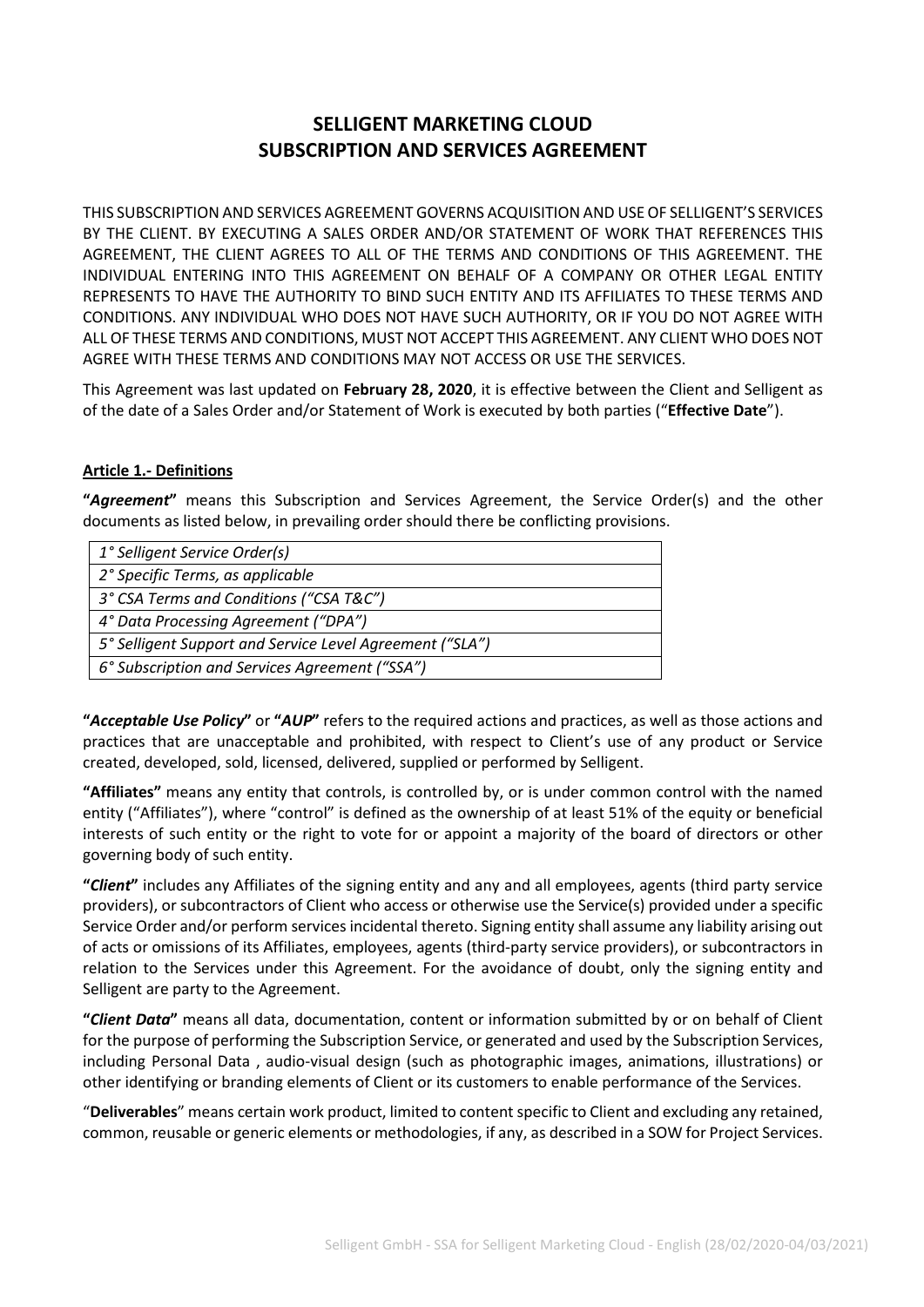## **SELLIGENT MARKETING CLOUD SUBSCRIPTION AND SERVICES AGREEMENT**

THIS SUBSCRIPTION AND SERVICES AGREEMENT GOVERNS ACQUISITION AND USE OF SELLIGENT'S SERVICES BY THE CLIENT. BY EXECUTING A SALES ORDER AND/OR STATEMENT OF WORK THAT REFERENCES THIS AGREEMENT, THE CLIENT AGREES TO ALL OF THE TERMS AND CONDITIONS OF THIS AGREEMENT. THE INDIVIDUAL ENTERING INTO THIS AGREEMENT ON BEHALF OF A COMPANY OR OTHER LEGAL ENTITY REPRESENTS TO HAVE THE AUTHORITY TO BIND SUCH ENTITY AND ITS AFFILIATES TO THESE TERMS AND CONDITIONS. ANY INDIVIDUAL WHO DOES NOT HAVE SUCH AUTHORITY, OR IF YOU DO NOT AGREE WITH ALL OF THESE TERMS AND CONDITIONS, MUST NOT ACCEPT THIS AGREEMENT. ANY CLIENT WHO DOES NOT AGREE WITH THESE TERMS AND CONDITIONS MAY NOT ACCESS OR USE THE SERVICES.

This Agreement was last updated on **February 28, 2020**, it is effective between the Client and Selligent as of the date of a Sales Order and/or Statement of Work is executed by both parties ("**Effective Date**").

#### **Article 1.- Definitions**

**"***Agreement***"** means this Subscription and Services Agreement, the Service Order(s) and the other documents as listed below, in prevailing order should there be conflicting provisions.

| 1° Selligent Service Order(s)                            |
|----------------------------------------------------------|
| 2° Specific Terms, as applicable                         |
| 3° CSA Terms and Conditions ("CSA T&C")                  |
| 4° Data Processing Agreement ("DPA")                     |
| 5° Selligent Support and Service Level Agreement ("SLA") |
| 6° Subscription and Services Agreement ("SSA")           |

**"***Acceptable Use Policy***"** or **"***AUP***"** refers to the required actions and practices, as well as those actions and practices that are unacceptable and prohibited, with respect to Client's use of any product or Service created, developed, sold, licensed, delivered, supplied or performed by Selligent.

**"Affiliates"** means any entity that controls, is controlled by, or is under common control with the named entity ("Affiliates"), where "control" is defined as the ownership of at least 51% of the equity or beneficial interests of such entity or the right to vote for or appoint a majority of the board of directors or other governing body of such entity.

**"***Client***"** includes any Affiliates of the signing entity and any and all employees, agents (third party service providers), or subcontractors of Client who access or otherwise use the Service(s) provided under a specific Service Order and/or perform services incidental thereto. Signing entity shall assume any liability arising out of acts or omissions of its Affiliates, employees, agents (third-party service providers), or subcontractors in relation to the Services under this Agreement. For the avoidance of doubt, only the signing entity and Selligent are party to the Agreement.

**"***Client Data***"** means all data, documentation, content or information submitted by or on behalf of Client for the purpose of performing the Subscription Service, or generated and used by the Subscription Services, including Personal Data , audio-visual design (such as photographic images, animations, illustrations) or other identifying or branding elements of Client or its customers to enable performance of the Services.

"**Deliverables**" means certain work product, limited to content specific to Client and excluding any retained, common, reusable or generic elements or methodologies, if any, as described in a SOW for Project Services.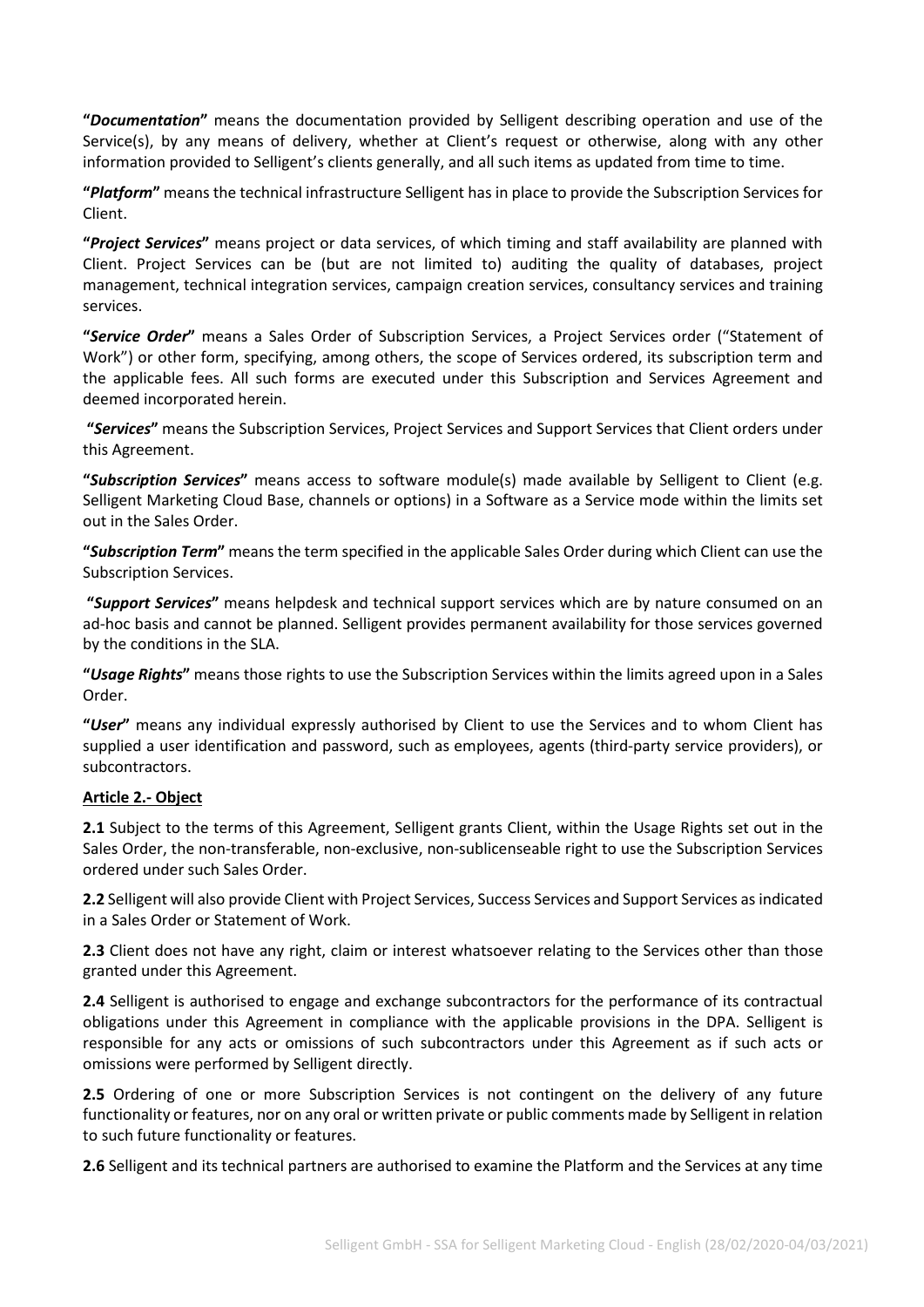**"***Documentation***"** means the documentation provided by Selligent describing operation and use of the Service(s), by any means of delivery, whether at Client's request or otherwise, along with any other information provided to Selligent's clients generally, and all such items as updated from time to time.

**"***Platform***"** means the technical infrastructure Selligent has in place to provide the Subscription Services for Client.

**"***Project Services***"** means project or data services, of which timing and staff availability are planned with Client. Project Services can be (but are not limited to) auditing the quality of databases, project management, technical integration services, campaign creation services, consultancy services and training services.

**"***Service Order***"** means a Sales Order of Subscription Services, a Project Services order ("Statement of Work") or other form, specifying, among others, the scope of Services ordered, its subscription term and the applicable fees. All such forms are executed under this Subscription and Services Agreement and deemed incorporated herein.

**"***Services***"** means the Subscription Services, Project Services and Support Services that Client orders under this Agreement.

**"***Subscription Services***"** means access to software module(s) made available by Selligent to Client (e.g. Selligent Marketing Cloud Base, channels or options) in a Software as a Service mode within the limits set out in the Sales Order.

**"***Subscription Term***"** means the term specified in the applicable Sales Order during which Client can use the Subscription Services.

**"***Support Services***"** means helpdesk and technical support services which are by nature consumed on an ad-hoc basis and cannot be planned. Selligent provides permanent availability for those services governed by the conditions in the SLA.

**"***Usage Rights***"** means those rights to use the Subscription Services within the limits agreed upon in a Sales Order.

**"***User***"** means any individual expressly authorised by Client to use the Services and to whom Client has supplied a user identification and password, such as employees, agents (third-party service providers), or subcontractors.

#### **Article 2.- Object**

**2.1** Subject to the terms of this Agreement, Selligent grants Client, within the Usage Rights set out in the Sales Order, the non-transferable, non-exclusive, non-sublicenseable right to use the Subscription Services ordered under such Sales Order.

**2.2** Selligent will also provide Client with Project Services, Success Services and Support Services as indicated in a Sales Order or Statement of Work.

**2.3** Client does not have any right, claim or interest whatsoever relating to the Services other than those granted under this Agreement.

**2.4** Selligent is authorised to engage and exchange subcontractors for the performance of its contractual obligations under this Agreement in compliance with the applicable provisions in the DPA. Selligent is responsible for any acts or omissions of such subcontractors under this Agreement as if such acts or omissions were performed by Selligent directly.

**2.5** Ordering of one or more Subscription Services is not contingent on the delivery of any future functionality or features, nor on any oral or written private or public comments made by Selligent in relation to such future functionality or features.

**2.6** Selligent and its technical partners are authorised to examine the Platform and the Services at any time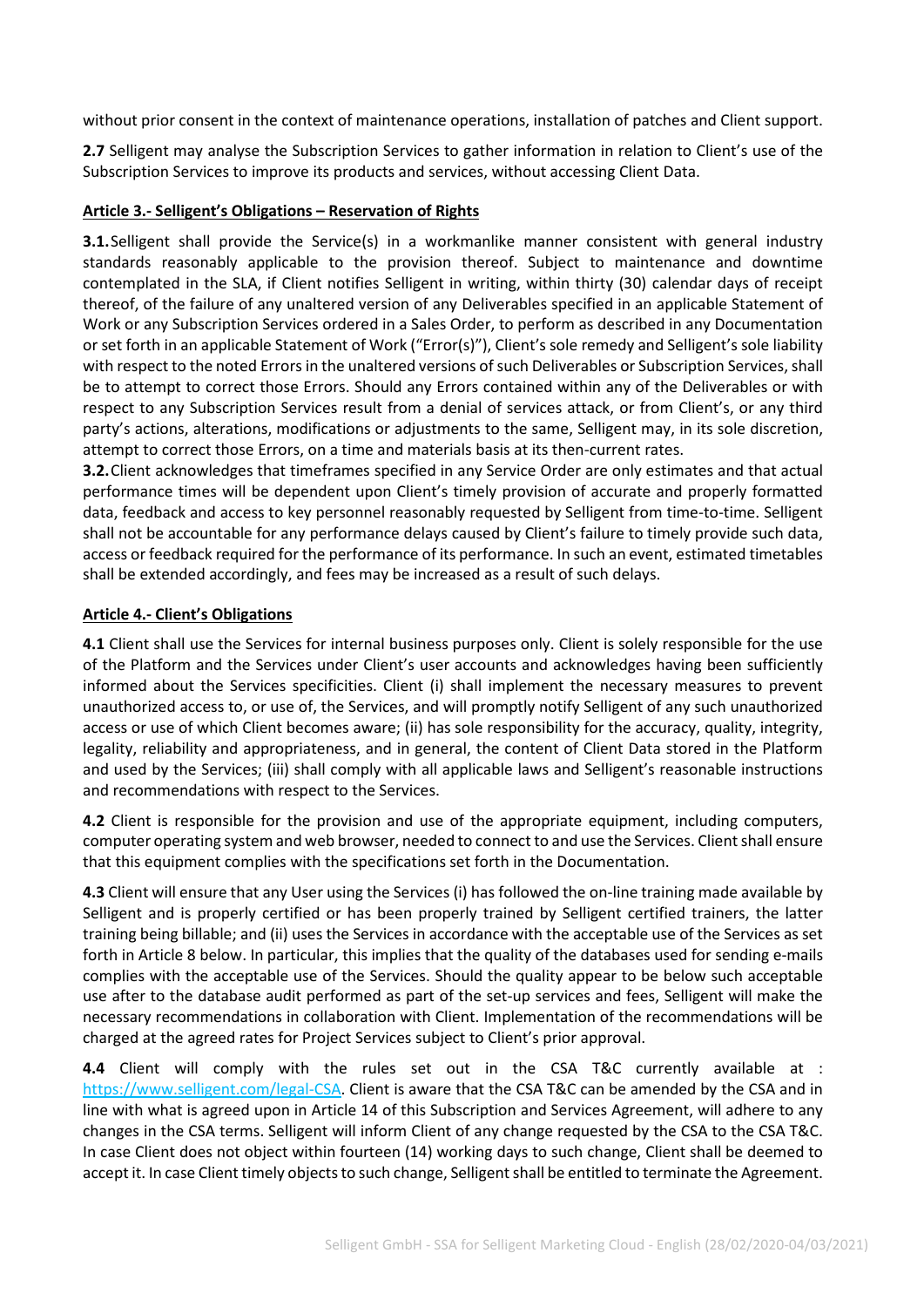without prior consent in the context of maintenance operations, installation of patches and Client support.

**2.7** Selligent may analyse the Subscription Services to gather information in relation to Client's use of the Subscription Services to improve its products and services, without accessing Client Data.

#### **Article 3.- Selligent's Obligations – Reservation of Rights**

**3.1.** Selligent shall provide the Service(s) in a workmanlike manner consistent with general industry standards reasonably applicable to the provision thereof. Subject to maintenance and downtime contemplated in the SLA, if Client notifies Selligent in writing, within thirty (30) calendar days of receipt thereof, of the failure of any unaltered version of any Deliverables specified in an applicable Statement of Work or any Subscription Services ordered in a Sales Order, to perform as described in any Documentation or set forth in an applicable Statement of Work ("Error(s)"), Client's sole remedy and Selligent's sole liability with respect to the noted Errors in the unaltered versions of such Deliverables or Subscription Services, shall be to attempt to correct those Errors. Should any Errors contained within any of the Deliverables or with respect to any Subscription Services result from a denial of services attack, or from Client's, or any third party's actions, alterations, modifications or adjustments to the same, Selligent may, in its sole discretion, attempt to correct those Errors, on a time and materials basis at its then-current rates.

**3.2.**Client acknowledges that timeframes specified in any Service Order are only estimates and that actual performance times will be dependent upon Client's timely provision of accurate and properly formatted data, feedback and access to key personnel reasonably requested by Selligent from time-to-time. Selligent shall not be accountable for any performance delays caused by Client's failure to timely provide such data, access or feedback required for the performance of its performance. In such an event, estimated timetables shall be extended accordingly, and fees may be increased as a result of such delays.

#### **Article 4.- Client's Obligations**

**4.1** Client shall use the Services for internal business purposes only. Client is solely responsible for the use of the Platform and the Services under Client's user accounts and acknowledges having been sufficiently informed about the Services specificities. Client (i) shall implement the necessary measures to prevent unauthorized access to, or use of, the Services, and will promptly notify Selligent of any such unauthorized access or use of which Client becomes aware; (ii) has sole responsibility for the accuracy, quality, integrity, legality, reliability and appropriateness, and in general, the content of Client Data stored in the Platform and used by the Services; (iii) shall comply with all applicable laws and Selligent's reasonable instructions and recommendations with respect to the Services.

**4.2** Client is responsible for the provision and use of the appropriate equipment, including computers, computer operating system and web browser, needed to connect to and use the Services. Client shall ensure that this equipment complies with the specifications set forth in the Documentation.

**4.3** Client will ensure that any User using the Services (i) has followed the on-line training made available by Selligent and is properly certified or has been properly trained by Selligent certified trainers, the latter training being billable; and (ii) uses the Services in accordance with the acceptable use of the Services as set forth in Article 8 below. In particular, this implies that the quality of the databases used for sending e-mails complies with the acceptable use of the Services. Should the quality appear to be below such acceptable use after to the database audit performed as part of the set-up services and fees, Selligent will make the necessary recommendations in collaboration with Client. Implementation of the recommendations will be charged at the agreed rates for Project Services subject to Client's prior approval.

**4.4** Client will comply with the rules set out in the CSA T&C currently available at : [https://www.selligent.com/legal-CSA.](https://www.selligent.com/legal-CSA) Client is aware that the CSA T&C can be amended by the CSA and in line with what is agreed upon in Article 14 of this Subscription and Services Agreement, will adhere to any changes in the CSA terms. Selligent will inform Client of any change requested by the CSA to the CSA T&C. In case Client does not object within fourteen (14) working days to such change, Client shall be deemed to accept it. In case Client timely objects to such change, Selligent shall be entitled to terminate the Agreement.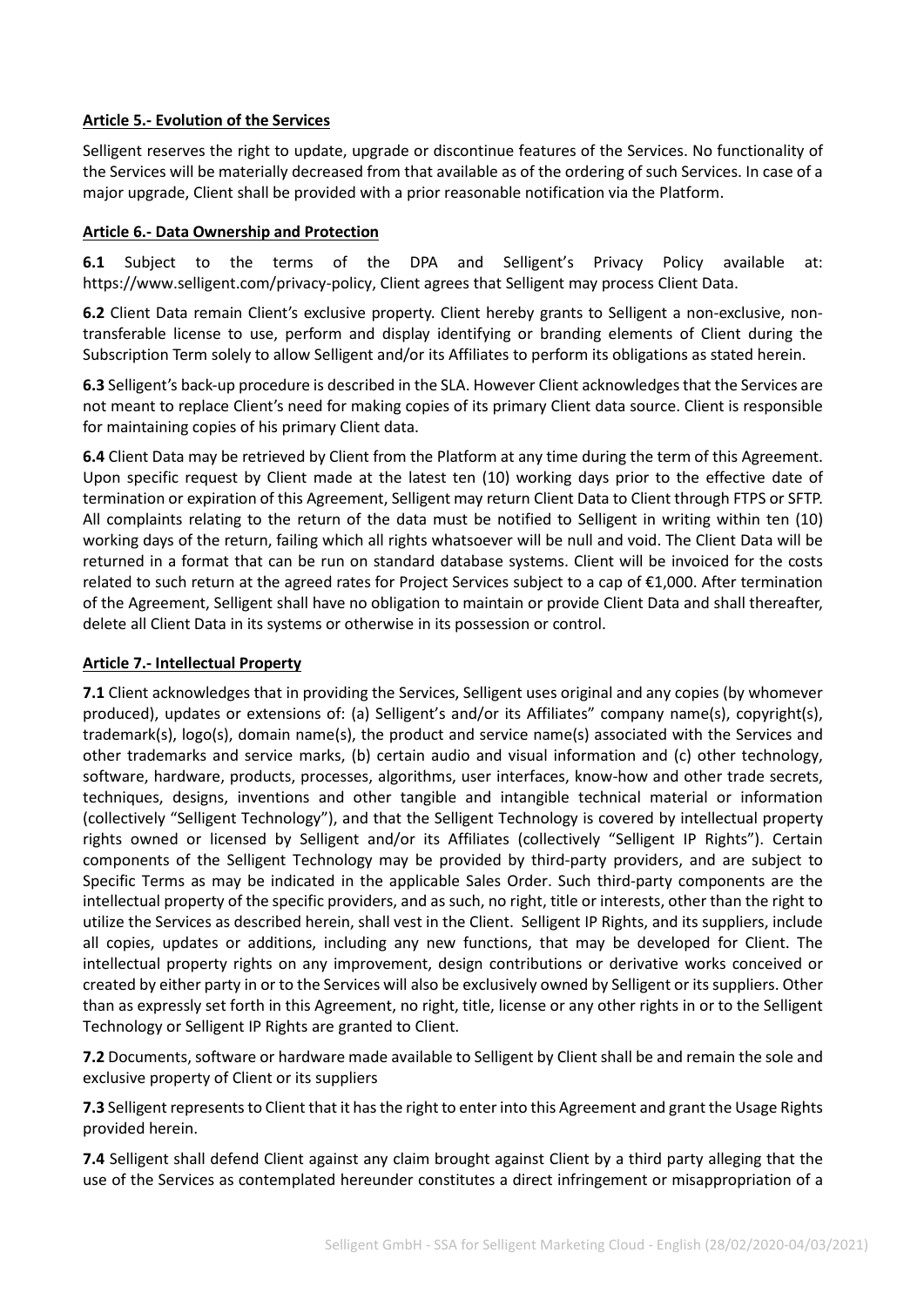#### **Article 5.- Evolution of the Services**

Selligent reserves the right to update, upgrade or discontinue features of the Services. No functionality of the Services will be materially decreased from that available as of the ordering of such Services. In case of a major upgrade, Client shall be provided with a prior reasonable notification via the Platform.

#### **Article 6.- Data Ownership and Protection**

**6.1** Subject to the terms of the DPA and Selligent's Privacy Policy available at: [https://www.selligent.com/privacy-policy,](https://www.selligent.com/privacy-policy) Client agrees that Selligent may process Client Data.

**6.2** Client Data remain Client's exclusive property. Client hereby grants to Selligent a non-exclusive, nontransferable license to use, perform and display identifying or branding elements of Client during the Subscription Term solely to allow Selligent and/or its Affiliates to perform its obligations as stated herein.

**6.3** Selligent's back-up procedure is described in the SLA. However Client acknowledges that the Services are not meant to replace Client's need for making copies of its primary Client data source. Client is responsible for maintaining copies of his primary Client data.

**6.4** Client Data may be retrieved by Client from the Platform at any time during the term of this Agreement. Upon specific request by Client made at the latest ten (10) working days prior to the effective date of termination or expiration of this Agreement, Selligent may return Client Data to Client through FTPS or SFTP. All complaints relating to the return of the data must be notified to Selligent in writing within ten (10) working days of the return, failing which all rights whatsoever will be null and void. The Client Data will be returned in a format that can be run on standard database systems. Client will be invoiced for the costs related to such return at the agreed rates for Project Services subject to a cap of €1,000. After termination of the Agreement, Selligent shall have no obligation to maintain or provide Client Data and shall thereafter, delete all Client Data in its systems or otherwise in its possession or control.

#### **Article 7.- Intellectual Property**

**7.1** Client acknowledges that in providing the Services, Selligent uses original and any copies (by whomever produced), updates or extensions of: (a) Selligent's and/or its Affiliates" company name(s), copyright(s), trademark(s), logo(s), domain name(s), the product and service name(s) associated with the Services and other trademarks and service marks, (b) certain audio and visual information and (c) other technology, software, hardware, products, processes, algorithms, user interfaces, know-how and other trade secrets, techniques, designs, inventions and other tangible and intangible technical material or information (collectively "Selligent Technology"), and that the Selligent Technology is covered by intellectual property rights owned or licensed by Selligent and/or its Affiliates (collectively "Selligent IP Rights"). Certain components of the Selligent Technology may be provided by third-party providers, and are subject to Specific Terms as may be indicated in the applicable Sales Order. Such third-party components are the intellectual property of the specific providers, and as such, no right, title or interests, other than the right to utilize the Services as described herein, shall vest in the Client. Selligent IP Rights, and its suppliers, include all copies, updates or additions, including any new functions, that may be developed for Client. The intellectual property rights on any improvement, design contributions or derivative works conceived or created by either party in or to the Services will also be exclusively owned by Selligent or its suppliers. Other than as expressly set forth in this Agreement, no right, title, license or any other rights in or to the Selligent Technology or Selligent IP Rights are granted to Client.

**7.2** Documents, software or hardware made available to Selligent by Client shall be and remain the sole and exclusive property of Client or its suppliers

**7.3** Selligent represents to Client that it has the right to enter into this Agreement and grant the Usage Rights provided herein.

**7.4** Selligent shall defend Client against any claim brought against Client by a third party alleging that the use of the Services as contemplated hereunder constitutes a direct infringement or misappropriation of a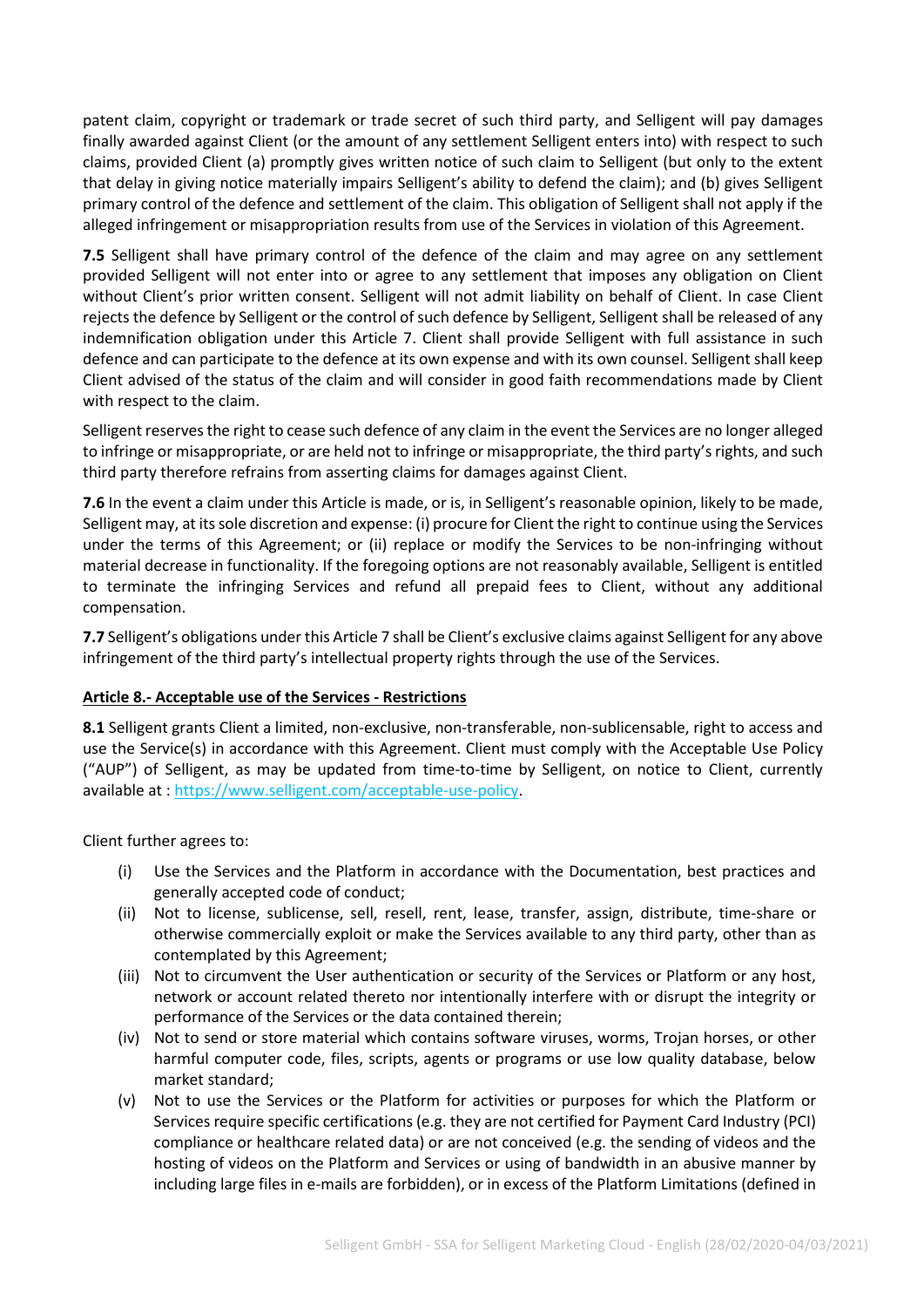patent claim, copyright or trademark or trade secret of such third party, and Selligent will pay damages finally awarded against Client (or the amount of any settlement Selligent enters into) with respect to such claims, provided Client (a) promptly gives written notice of such claim to Selligent (but only to the extent that delay in giving notice materially impairs Selligent's ability to defend the claim); and (b) gives Selligent primary control of the defence and settlement of the claim. This obligation of Selligent shall not apply if the alleged infringement or misappropriation results from use of the Services in violation of this Agreement.

**7.5** Selligent shall have primary control of the defence of the claim and may agree on any settlement provided Selligent will not enter into or agree to any settlement that imposes any obligation on Client without Client's prior written consent. Selligent will not admit liability on behalf of Client. In case Client rejects the defence by Selligent or the control of such defence by Selligent, Selligent shall be released of any indemnification obligation under this Article 7. Client shall provide Selligent with full assistance in such defence and can participate to the defence at its own expense and with its own counsel. Selligent shall keep Client advised of the status of the claim and will consider in good faith recommendations made by Client with respect to the claim.

Selligent reserves the right to cease such defence of any claim in the event the Services are no longer alleged to infringe or misappropriate, or are held not to infringe or misappropriate, the third party's rights, and such third party therefore refrains from asserting claims for damages against Client.

**7.6** In the event a claim under this Article is made, or is, in Selligent's reasonable opinion, likely to be made, Selligent may, at its sole discretion and expense: (i) procure for Client the right to continue using the Services under the terms of this Agreement; or (ii) replace or modify the Services to be non-infringing without material decrease in functionality. If the foregoing options are not reasonably available, Selligent is entitled to terminate the infringing Services and refund all prepaid fees to Client, without any additional compensation.

**7.7** Selligent's obligations under this Article 7 shall be Client's exclusive claims against Selligent for any above infringement of the third party's intellectual property rights through the use of the Services.

#### **Article 8.- Acceptable use of the Services - Restrictions**

**8.1** Selligent grants Client a limited, non-exclusive, non-transferable, non-sublicensable, right to access and use the Service(s) in accordance with this Agreement. Client must comply with the Acceptable Use Policy ("AUP") of Selligent, as may be updated from time-to-time by Selligent, on notice to Client, currently available at : [https://www.selligent.com/acceptable-use-policy.](https://selligent.com/acceptable-use-policy)

Client further agrees to:

- (i) Use the Services and the Platform in accordance with the Documentation, best practices and generally accepted code of conduct;
- (ii) Not to license, sublicense, sell, resell, rent, lease, transfer, assign, distribute, time-share or otherwise commercially exploit or make the Services available to any third party, other than as contemplated by this Agreement;
- (iii) Not to circumvent the User authentication or security of the Services or Platform or any host, network or account related thereto nor intentionally interfere with or disrupt the integrity or performance of the Services or the data contained therein;
- (iv) Not to send or store material which contains software viruses, worms, Trojan horses, or other harmful computer code, files, scripts, agents or programs or use low quality database, below market standard;
- (v) Not to use the Services or the Platform for activities or purposes for which the Platform or Services require specific certifications (e.g. they are not certified for Payment Card Industry (PCI) compliance or healthcare related data) or are not conceived (e.g. the sending of videos and the hosting of videos on the Platform and Services or using of bandwidth in an abusive manner by including large files in e-mails are forbidden), or in excess of the Platform Limitations (defined in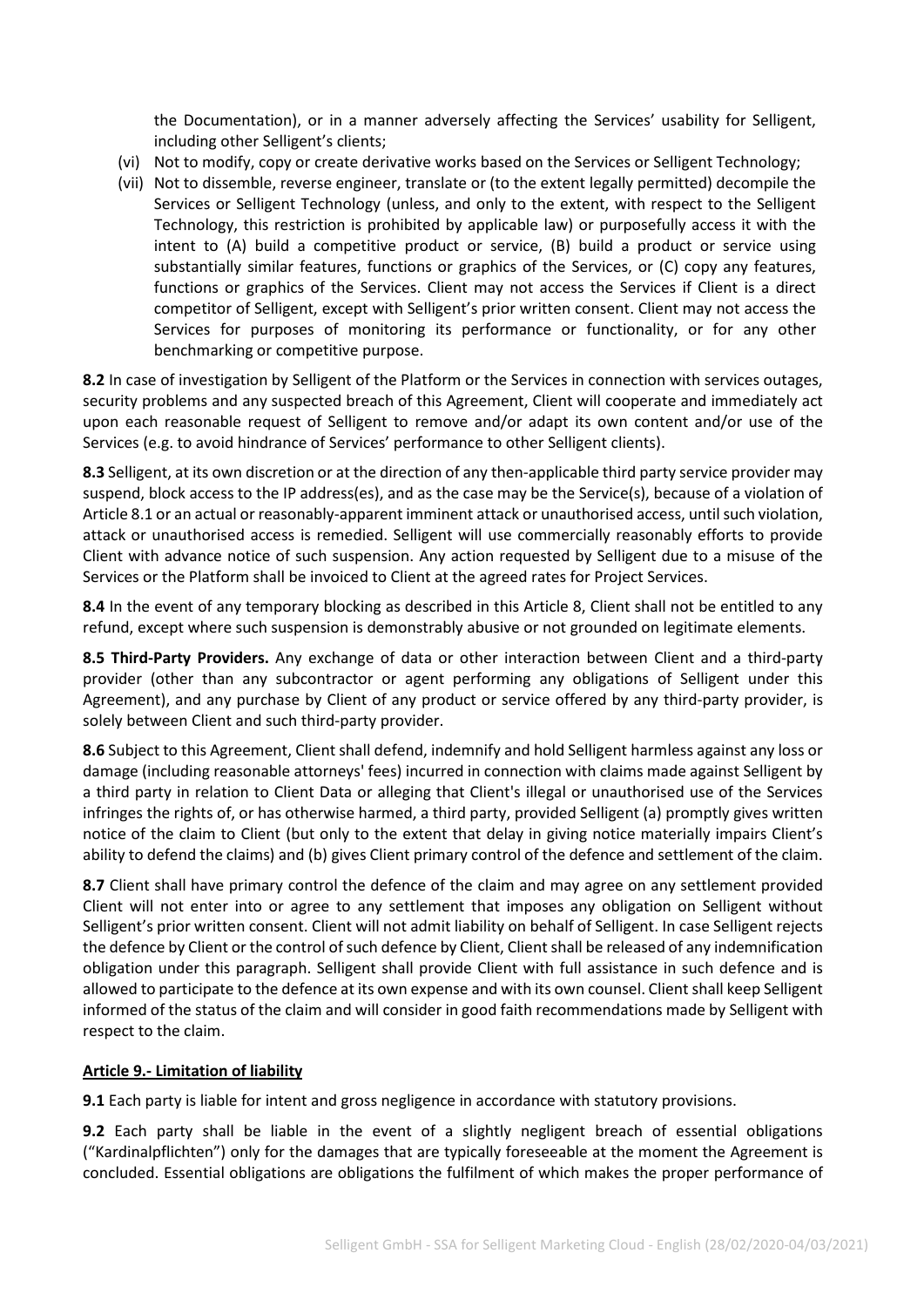the Documentation), or in a manner adversely affecting the Services' usability for Selligent, including other Selligent's clients;

- (vi) Not to modify, copy or create derivative works based on the Services or Selligent Technology;
- (vii) Not to dissemble, reverse engineer, translate or (to the extent legally permitted) decompile the Services or Selligent Technology (unless, and only to the extent, with respect to the Selligent Technology, this restriction is prohibited by applicable law) or purposefully access it with the intent to (A) build a competitive product or service, (B) build a product or service using substantially similar features, functions or graphics of the Services, or (C) copy any features, functions or graphics of the Services. Client may not access the Services if Client is a direct competitor of Selligent, except with Selligent's prior written consent. Client may not access the Services for purposes of monitoring its performance or functionality, or for any other benchmarking or competitive purpose.

**8.2** In case of investigation by Selligent of the Platform or the Services in connection with services outages, security problems and any suspected breach of this Agreement, Client will cooperate and immediately act upon each reasonable request of Selligent to remove and/or adapt its own content and/or use of the Services (e.g. to avoid hindrance of Services' performance to other Selligent clients).

**8.3** Selligent, at its own discretion or at the direction of any then-applicable third party service provider may suspend, block access to the IP address(es), and as the case may be the Service(s), because of a violation of Article 8.1 or an actual or reasonably-apparent imminent attack or unauthorised access, until such violation, attack or unauthorised access is remedied. Selligent will use commercially reasonably efforts to provide Client with advance notice of such suspension. Any action requested by Selligent due to a misuse of the Services or the Platform shall be invoiced to Client at the agreed rates for Project Services.

**8.4** In the event of any temporary blocking as described in this Article 8, Client shall not be entitled to any refund, except where such suspension is demonstrably abusive or not grounded on legitimate elements.

**8.5 Third-Party Providers.** Any exchange of data or other interaction between Client and a third-party provider (other than any subcontractor or agent performing any obligations of Selligent under this Agreement), and any purchase by Client of any product or service offered by any third-party provider, is solely between Client and such third-party provider.

**8.6** Subject to this Agreement, Client shall defend, indemnify and hold Selligent harmless against any loss or damage (including reasonable attorneys' fees) incurred in connection with claims made against Selligent by a third party in relation to Client Data or alleging that Client's illegal or unauthorised use of the Services infringes the rights of, or has otherwise harmed, a third party, provided Selligent (a) promptly gives written notice of the claim to Client (but only to the extent that delay in giving notice materially impairs Client's ability to defend the claims) and (b) gives Client primary control of the defence and settlement of the claim.

**8.7** Client shall have primary control the defence of the claim and may agree on any settlement provided Client will not enter into or agree to any settlement that imposes any obligation on Selligent without Selligent's prior written consent. Client will not admit liability on behalf of Selligent. In case Selligent rejects the defence by Client or the control of such defence by Client, Client shall be released of any indemnification obligation under this paragraph. Selligent shall provide Client with full assistance in such defence and is allowed to participate to the defence at its own expense and with its own counsel. Client shall keep Selligent informed of the status of the claim and will consider in good faith recommendations made by Selligent with respect to the claim.

#### **Article 9.- Limitation of liability**

**9.1** Each party is liable for intent and gross negligence in accordance with statutory provisions.

**9.2** Each party shall be liable in the event of a slightly negligent breach of essential obligations ("Kardinalpflichten") only for the damages that are typically foreseeable at the moment the Agreement is concluded. Essential obligations are obligations the fulfilment of which makes the proper performance of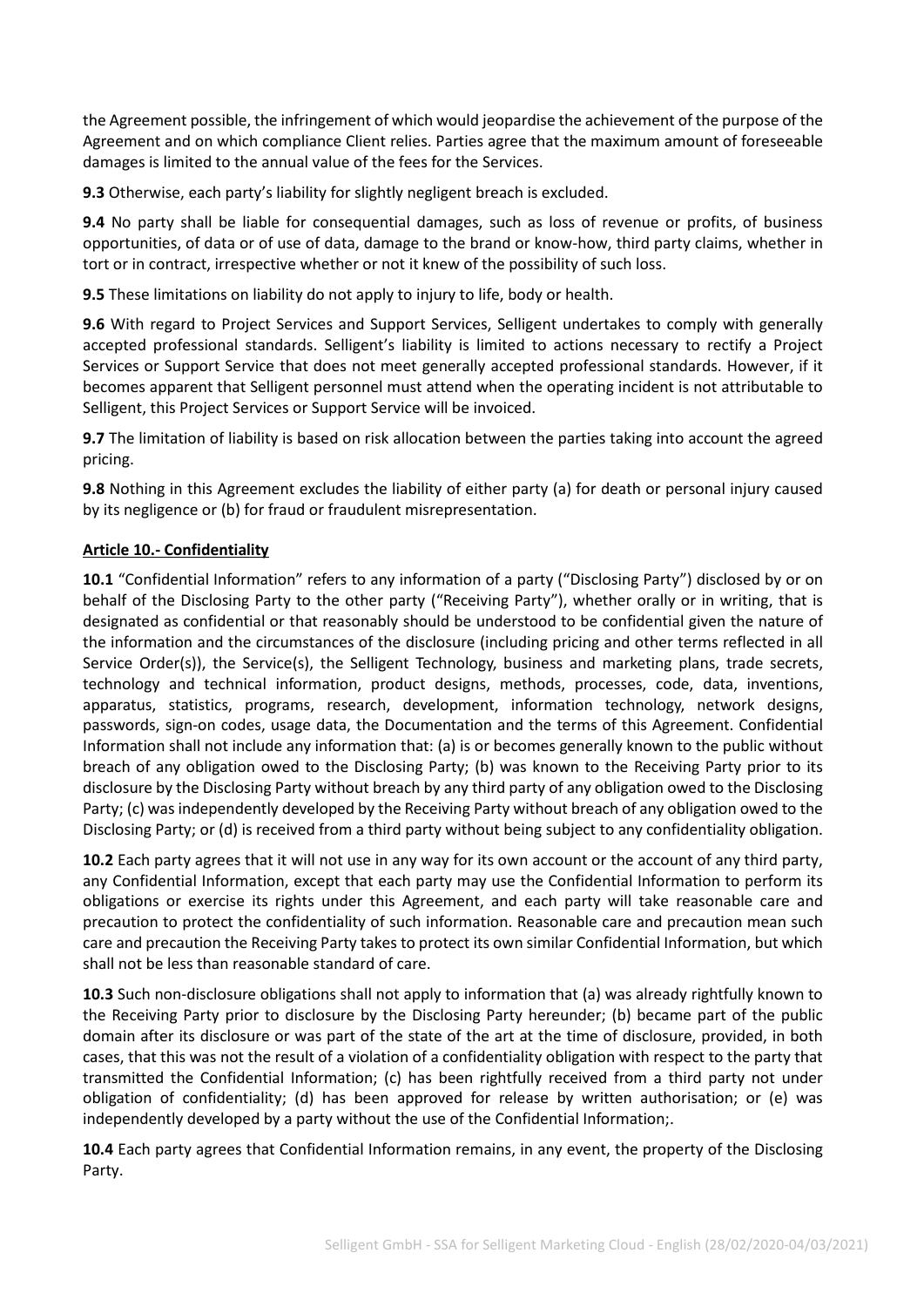the Agreement possible, the infringement of which would jeopardise the achievement of the purpose of the Agreement and on which compliance Client relies. Parties agree that the maximum amount of foreseeable damages is limited to the annual value of the fees for the Services.

**9.3** Otherwise, each party's liability for slightly negligent breach is excluded.

**9.4** No party shall be liable for consequential damages, such as loss of revenue or profits, of business opportunities, of data or of use of data, damage to the brand or know-how, third party claims, whether in tort or in contract, irrespective whether or not it knew of the possibility of such loss.

**9.5** These limitations on liability do not apply to injury to life, body or health.

**9.6** With regard to Project Services and Support Services, Selligent undertakes to comply with generally accepted professional standards. Selligent's liability is limited to actions necessary to rectify a Project Services or Support Service that does not meet generally accepted professional standards. However, if it becomes apparent that Selligent personnel must attend when the operating incident is not attributable to Selligent, this Project Services or Support Service will be invoiced.

**9.7** The limitation of liability is based on risk allocation between the parties taking into account the agreed pricing.

**9.8** Nothing in this Agreement excludes the liability of either party (a) for death or personal injury caused by its negligence or (b) for fraud or fraudulent misrepresentation.

#### **Article 10.- Confidentiality**

**10.1** "Confidential Information" refers to any information of a party ("Disclosing Party") disclosed by or on behalf of the Disclosing Party to the other party ("Receiving Party"), whether orally or in writing, that is designated as confidential or that reasonably should be understood to be confidential given the nature of the information and the circumstances of the disclosure (including pricing and other terms reflected in all Service Order(s)), the Service(s), the Selligent Technology, business and marketing plans, trade secrets, technology and technical information, product designs, methods, processes, code, data, inventions, apparatus, statistics, programs, research, development, information technology, network designs, passwords, sign-on codes, usage data, the Documentation and the terms of this Agreement. Confidential Information shall not include any information that: (a) is or becomes generally known to the public without breach of any obligation owed to the Disclosing Party; (b) was known to the Receiving Party prior to its disclosure by the Disclosing Party without breach by any third party of any obligation owed to the Disclosing Party; (c) was independently developed by the Receiving Party without breach of any obligation owed to the Disclosing Party; or (d) is received from a third party without being subject to any confidentiality obligation.

**10.2** Each party agrees that it will not use in any way for its own account or the account of any third party, any Confidential Information, except that each party may use the Confidential Information to perform its obligations or exercise its rights under this Agreement, and each party will take reasonable care and precaution to protect the confidentiality of such information. Reasonable care and precaution mean such care and precaution the Receiving Party takes to protect its own similar Confidential Information, but which shall not be less than reasonable standard of care.

**10.3** Such non-disclosure obligations shall not apply to information that (a) was already rightfully known to the Receiving Party prior to disclosure by the Disclosing Party hereunder; (b) became part of the public domain after its disclosure or was part of the state of the art at the time of disclosure, provided, in both cases, that this was not the result of a violation of a confidentiality obligation with respect to the party that transmitted the Confidential Information; (c) has been rightfully received from a third party not under obligation of confidentiality; (d) has been approved for release by written authorisation; or (e) was independently developed by a party without the use of the Confidential Information;.

**10.4** Each party agrees that Confidential Information remains, in any event, the property of the Disclosing Party.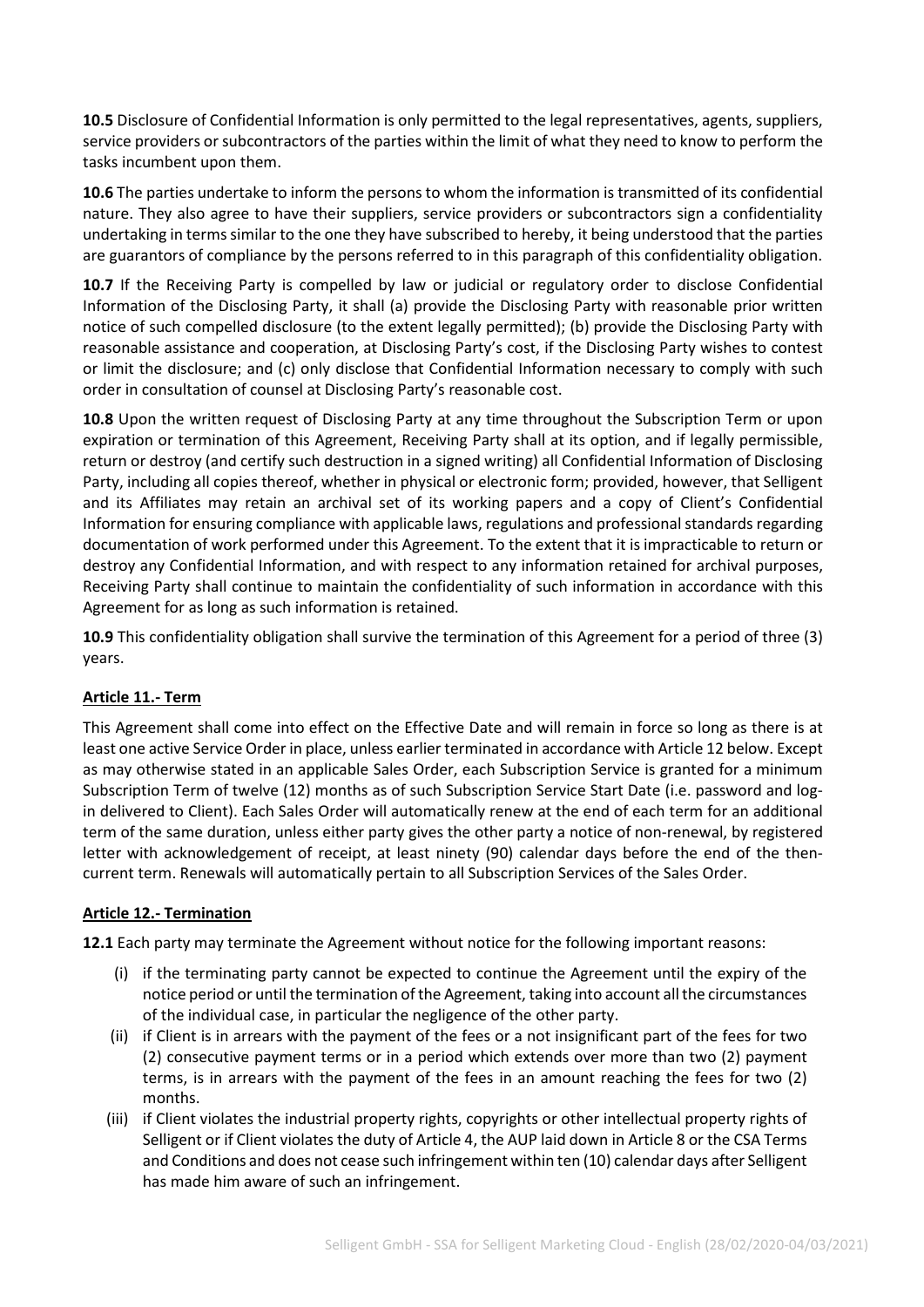**10.5** Disclosure of Confidential Information is only permitted to the legal representatives, agents, suppliers, service providers or subcontractors of the parties within the limit of what they need to know to perform the tasks incumbent upon them.

**10.6** The parties undertake to inform the persons to whom the information is transmitted of its confidential nature. They also agree to have their suppliers, service providers or subcontractors sign a confidentiality undertaking in terms similar to the one they have subscribed to hereby, it being understood that the parties are guarantors of compliance by the persons referred to in this paragraph of this confidentiality obligation.

**10.7** If the Receiving Party is compelled by law or judicial or regulatory order to disclose Confidential Information of the Disclosing Party, it shall (a) provide the Disclosing Party with reasonable prior written notice of such compelled disclosure (to the extent legally permitted); (b) provide the Disclosing Party with reasonable assistance and cooperation, at Disclosing Party's cost, if the Disclosing Party wishes to contest or limit the disclosure; and (c) only disclose that Confidential Information necessary to comply with such order in consultation of counsel at Disclosing Party's reasonable cost.

**10.8** Upon the written request of Disclosing Party at any time throughout the Subscription Term or upon expiration or termination of this Agreement, Receiving Party shall at its option, and if legally permissible, return or destroy (and certify such destruction in a signed writing) all Confidential Information of Disclosing Party, including all copies thereof, whether in physical or electronic form; provided, however, that Selligent and its Affiliates may retain an archival set of its working papers and a copy of Client's Confidential Information for ensuring compliance with applicable laws, regulations and professional standards regarding documentation of work performed under this Agreement. To the extent that it is impracticable to return or destroy any Confidential Information, and with respect to any information retained for archival purposes, Receiving Party shall continue to maintain the confidentiality of such information in accordance with this Agreement for as long as such information is retained.

**10.9** This confidentiality obligation shall survive the termination of this Agreement for a period of three (3) years.

### **Article 11.- Term**

This Agreement shall come into effect on the Effective Date and will remain in force so long as there is at least one active Service Order in place, unless earlier terminated in accordance with Article 12 below. Except as may otherwise stated in an applicable Sales Order, each Subscription Service is granted for a minimum Subscription Term of twelve (12) months as of such Subscription Service Start Date (i.e. password and login delivered to Client). Each Sales Order will automatically renew at the end of each term for an additional term of the same duration, unless either party gives the other party a notice of non-renewal, by registered letter with acknowledgement of receipt, at least ninety (90) calendar days before the end of the thencurrent term. Renewals will automatically pertain to all Subscription Services of the Sales Order.

#### **Article 12.- Termination**

**12.1** Each party may terminate the Agreement without notice for the following important reasons:

- (i) if the terminating party cannot be expected to continue the Agreement until the expiry of the notice period or until the termination of the Agreement, taking into account all the circumstances of the individual case, in particular the negligence of the other party.
- (ii) if Client is in arrears with the payment of the fees or a not insignificant part of the fees for two (2) consecutive payment terms or in a period which extends over more than two (2) payment terms, is in arrears with the payment of the fees in an amount reaching the fees for two (2) months.
- (iii) if Client violates the industrial property rights, copyrights or other intellectual property rights of Selligent or if Client violates the duty of Article 4, the AUP laid down in Article 8 or the CSA Terms and Conditions and does not cease such infringement within ten (10) calendar days after Selligent has made him aware of such an infringement.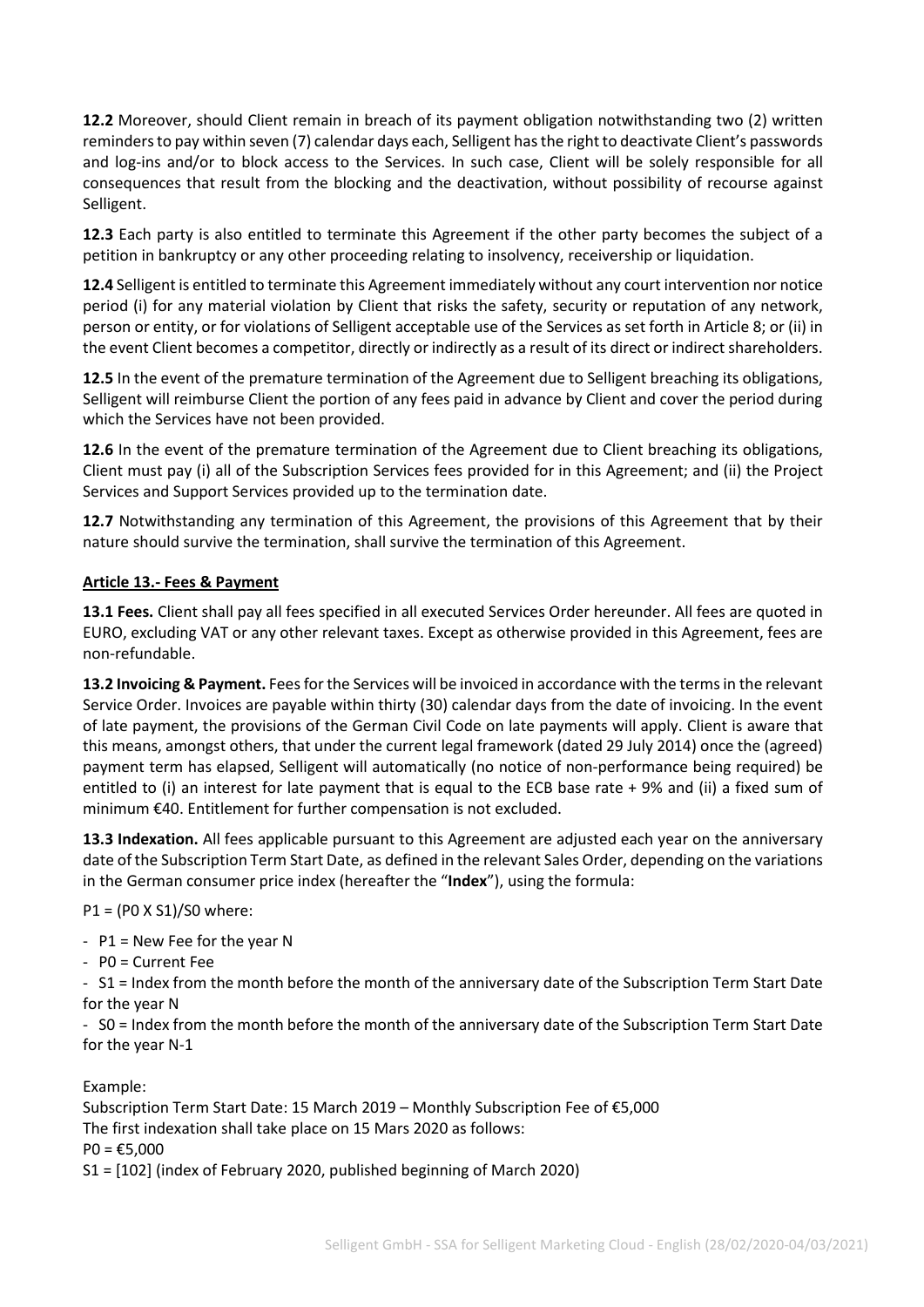**12.2** Moreover, should Client remain in breach of its payment obligation notwithstanding two (2) written reminders to pay within seven (7) calendar days each, Selligent has the right to deactivate Client's passwords and log-ins and/or to block access to the Services. In such case, Client will be solely responsible for all consequences that result from the blocking and the deactivation, without possibility of recourse against Selligent.

**12.3** Each party is also entitled to terminate this Agreement if the other party becomes the subject of a petition in bankruptcy or any other proceeding relating to insolvency, receivership or liquidation.

**12.4** Selligent is entitled to terminate this Agreement immediately without any court intervention nor notice period (i) for any material violation by Client that risks the safety, security or reputation of any network, person or entity, or for violations of Selligent acceptable use of the Services as set forth in Article 8; or (ii) in the event Client becomes a competitor, directly or indirectly as a result of its direct or indirect shareholders.

**12.5** In the event of the premature termination of the Agreement due to Selligent breaching its obligations, Selligent will reimburse Client the portion of any fees paid in advance by Client and cover the period during which the Services have not been provided.

**12.6** In the event of the premature termination of the Agreement due to Client breaching its obligations, Client must pay (i) all of the Subscription Services fees provided for in this Agreement; and (ii) the Project Services and Support Services provided up to the termination date.

**12.7** Notwithstanding any termination of this Agreement, the provisions of this Agreement that by their nature should survive the termination, shall survive the termination of this Agreement.

#### **Article 13.- Fees & Payment**

**13.1 Fees.** Client shall pay all fees specified in all executed Services Order hereunder. All fees are quoted in EURO, excluding VAT or any other relevant taxes. Except as otherwise provided in this Agreement, fees are non-refundable.

**13.2 Invoicing & Payment.** Fees for the Services will be invoiced in accordance with the terms in the relevant Service Order. Invoices are payable within thirty (30) calendar days from the date of invoicing. In the event of late payment, the provisions of the German Civil Code on late payments will apply. Client is aware that this means, amongst others, that under the current legal framework (dated 29 July 2014) once the (agreed) payment term has elapsed, Selligent will automatically (no notice of non-performance being required) be entitled to (i) an interest for late payment that is equal to the ECB base rate + 9% and (ii) a fixed sum of minimum €40. Entitlement for further compensation is not excluded.

**13.3 Indexation.** All fees applicable pursuant to this Agreement are adjusted each year on the anniversary date of the Subscription Term Start Date, as defined in the relevant Sales Order, depending on the variations in the German consumer price index (hereafter the "**Index**"), using the formula:

P1 = (P0 X S1)/S0 where:

-  $P1$  = New Fee for the year N

- P0 = Current Fee

- S1 = Index from the month before the month of the anniversary date of the Subscription Term Start Date for the year N

- S0 = Index from the month before the month of the anniversary date of the Subscription Term Start Date for the year N-1

Example:

Subscription Term Start Date: 15 March 2019 – Monthly Subscription Fee of €5,000 The first indexation shall take place on 15 Mars 2020 as follows:  $PO = £5,000$ S1 = [102] (index of February 2020, published beginning of March 2020)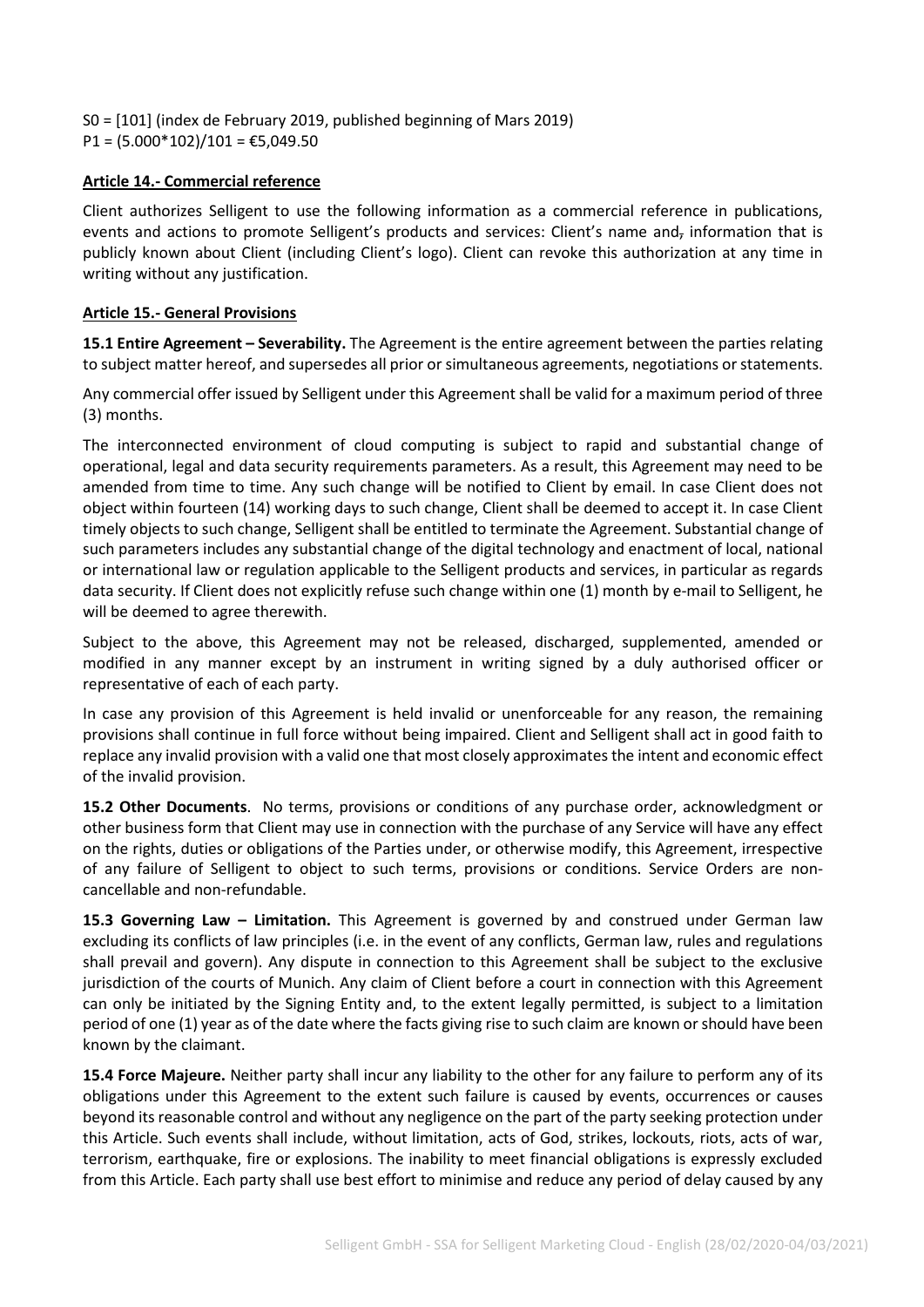S0 = [101] (index de February 2019, published beginning of Mars 2019)  $P1 = (5.000*102)/101 = \text{\textsterling}5,049.50$ 

#### **Article 14.- Commercial reference**

Client authorizes Selligent to use the following information as a commercial reference in publications, events and actions to promote Selligent's products and services: Client's name and<sub>r</sub> information that is publicly known about Client (including Client's logo). Client can revoke this authorization at any time in writing without any justification.

#### **Article 15.- General Provisions**

**15.1 Entire Agreement – Severability.** The Agreement is the entire agreement between the parties relating to subject matter hereof, and supersedes all prior or simultaneous agreements, negotiations or statements.

Any commercial offer issued by Selligent under this Agreement shall be valid for a maximum period of three (3) months.

The interconnected environment of cloud computing is subject to rapid and substantial change of operational, legal and data security requirements parameters. As a result, this Agreement may need to be amended from time to time. Any such change will be notified to Client by email. In case Client does not object within fourteen (14) working days to such change, Client shall be deemed to accept it. In case Client timely objects to such change, Selligent shall be entitled to terminate the Agreement. Substantial change of such parameters includes any substantial change of the digital technology and enactment of local, national or international law or regulation applicable to the Selligent products and services, in particular as regards data security. If Client does not explicitly refuse such change within one (1) month by e-mail to Selligent, he will be deemed to agree therewith.

Subject to the above, this Agreement may not be released, discharged, supplemented, amended or modified in any manner except by an instrument in writing signed by a duly authorised officer or representative of each of each party.

In case any provision of this Agreement is held invalid or unenforceable for any reason, the remaining provisions shall continue in full force without being impaired. Client and Selligent shall act in good faith to replace any invalid provision with a valid one that most closely approximates the intent and economic effect of the invalid provision.

**15.2 Other Documents**. No terms, provisions or conditions of any purchase order, acknowledgment or other business form that Client may use in connection with the purchase of any Service will have any effect on the rights, duties or obligations of the Parties under, or otherwise modify, this Agreement, irrespective of any failure of Selligent to object to such terms, provisions or conditions. Service Orders are noncancellable and non-refundable.

**15.3 Governing Law – Limitation.** This Agreement is governed by and construed under German law excluding its conflicts of law principles (i.e. in the event of any conflicts, German law, rules and regulations shall prevail and govern). Any dispute in connection to this Agreement shall be subject to the exclusive jurisdiction of the courts of Munich. Any claim of Client before a court in connection with this Agreement can only be initiated by the Signing Entity and, to the extent legally permitted, is subject to a limitation period of one (1) year as of the date where the facts giving rise to such claim are known or should have been known by the claimant.

**15.4 Force Majeure.** Neither party shall incur any liability to the other for any failure to perform any of its obligations under this Agreement to the extent such failure is caused by events, occurrences or causes beyond its reasonable control and without any negligence on the part of the party seeking protection under this Article. Such events shall include, without limitation, acts of God, strikes, lockouts, riots, acts of war, terrorism, earthquake, fire or explosions. The inability to meet financial obligations is expressly excluded from this Article. Each party shall use best effort to minimise and reduce any period of delay caused by any